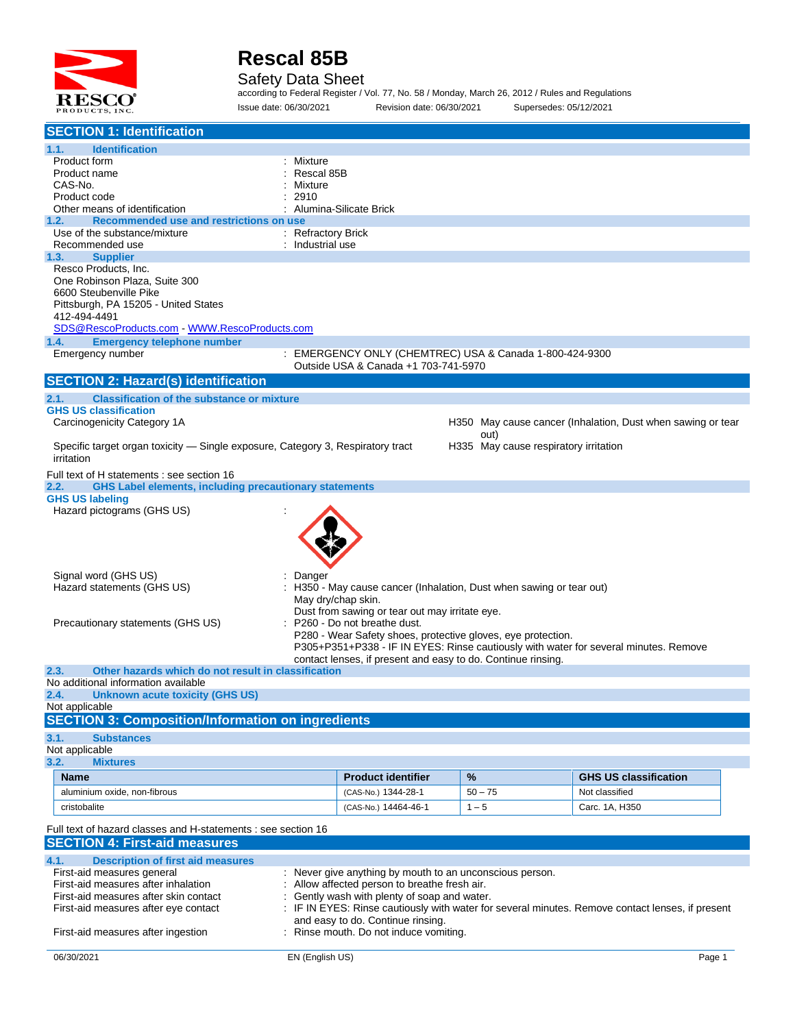

#### Safety Data Sheet

according to Federal Register / Vol. 77, No. 58 / Monday, March 26, 2012 / Rules and Regulations Issue date: 06/30/2021 Revision date: 06/30/2021 Supersedes: 05/12/2021

| <b>SECTION 1: Identification</b>                                                                            |                    |                                                                                            |                                       |                                                                                                  |
|-------------------------------------------------------------------------------------------------------------|--------------------|--------------------------------------------------------------------------------------------|---------------------------------------|--------------------------------------------------------------------------------------------------|
| 1.1.<br><b>Identification</b>                                                                               |                    |                                                                                            |                                       |                                                                                                  |
| Product form                                                                                                | : Mixture          |                                                                                            |                                       |                                                                                                  |
| Product name                                                                                                | Rescal 85B         |                                                                                            |                                       |                                                                                                  |
| CAS-No.                                                                                                     | Mixture            |                                                                                            |                                       |                                                                                                  |
| Product code                                                                                                | 2910               |                                                                                            |                                       |                                                                                                  |
| Other means of identification                                                                               |                    | Alumina-Silicate Brick                                                                     |                                       |                                                                                                  |
| Recommended use and restrictions on use<br>1.2.<br>Use of the substance/mixture                             | : Refractory Brick |                                                                                            |                                       |                                                                                                  |
| Recommended use                                                                                             | : Industrial use   |                                                                                            |                                       |                                                                                                  |
| <b>Supplier</b><br>1.3.                                                                                     |                    |                                                                                            |                                       |                                                                                                  |
| Resco Products, Inc.                                                                                        |                    |                                                                                            |                                       |                                                                                                  |
| One Robinson Plaza, Suite 300                                                                               |                    |                                                                                            |                                       |                                                                                                  |
| 6600 Steubenville Pike                                                                                      |                    |                                                                                            |                                       |                                                                                                  |
| Pittsburgh, PA 15205 - United States                                                                        |                    |                                                                                            |                                       |                                                                                                  |
| 412-494-4491                                                                                                |                    |                                                                                            |                                       |                                                                                                  |
| SDS@RescoProducts.com WWW.RescoProducts.com                                                                 |                    |                                                                                            |                                       |                                                                                                  |
| <b>Emergency telephone number</b><br>1.4.                                                                   |                    | : EMERGENCY ONLY (CHEMTREC) USA & Canada 1-800-424-9300                                    |                                       |                                                                                                  |
| Emergency number                                                                                            |                    | Outside USA & Canada +1 703-741-5970                                                       |                                       |                                                                                                  |
| <b>SECTION 2: Hazard(s) identification</b>                                                                  |                    |                                                                                            |                                       |                                                                                                  |
| <b>Classification of the substance or mixture</b><br>2.1.                                                   |                    |                                                                                            |                                       |                                                                                                  |
| <b>GHS US classification</b>                                                                                |                    |                                                                                            |                                       |                                                                                                  |
| Carcinogenicity Category 1A                                                                                 |                    |                                                                                            |                                       | H350 May cause cancer (Inhalation, Dust when sawing or tear                                      |
|                                                                                                             |                    |                                                                                            | out)                                  |                                                                                                  |
| Specific target organ toxicity — Single exposure, Category 3, Respiratory tract                             |                    |                                                                                            | H335 May cause respiratory irritation |                                                                                                  |
| irritation                                                                                                  |                    |                                                                                            |                                       |                                                                                                  |
| Full text of H statements : see section 16<br><b>GHS Label elements, including precautionary statements</b> |                    |                                                                                            |                                       |                                                                                                  |
| 2.2.<br><b>GHS US labeling</b>                                                                              |                    |                                                                                            |                                       |                                                                                                  |
| Hazard pictograms (GHS US)                                                                                  |                    |                                                                                            |                                       |                                                                                                  |
|                                                                                                             |                    |                                                                                            |                                       |                                                                                                  |
|                                                                                                             |                    |                                                                                            |                                       |                                                                                                  |
|                                                                                                             |                    |                                                                                            |                                       |                                                                                                  |
|                                                                                                             |                    |                                                                                            |                                       |                                                                                                  |
|                                                                                                             |                    |                                                                                            |                                       |                                                                                                  |
| Signal word (GHS US)                                                                                        | Danger             |                                                                                            |                                       |                                                                                                  |
| Hazard statements (GHS US)                                                                                  |                    | : H350 - May cause cancer (Inhalation, Dust when sawing or tear out)<br>May dry/chap skin. |                                       |                                                                                                  |
|                                                                                                             |                    | Dust from sawing or tear out may irritate eye.                                             |                                       |                                                                                                  |
| Precautionary statements (GHS US)                                                                           |                    | : P260 - Do not breathe dust.                                                              |                                       |                                                                                                  |
|                                                                                                             |                    | P280 - Wear Safety shoes, protective gloves, eye protection.                               |                                       |                                                                                                  |
|                                                                                                             |                    |                                                                                            |                                       | P305+P351+P338 - IF IN EYES: Rinse cautiously with water for several minutes. Remove             |
|                                                                                                             |                    | contact lenses, if present and easy to do. Continue rinsing.                               |                                       |                                                                                                  |
| Other hazards which do not result in classification<br>2.3.                                                 |                    |                                                                                            |                                       |                                                                                                  |
| No additional information available                                                                         |                    |                                                                                            |                                       |                                                                                                  |
| <b>Unknown acute toxicity (GHS US)</b><br>2.4.                                                              |                    |                                                                                            |                                       |                                                                                                  |
| Not applicable                                                                                              |                    |                                                                                            |                                       |                                                                                                  |
| <b>SECTION 3: Composition/Information on ingredients</b>                                                    |                    |                                                                                            |                                       |                                                                                                  |
| 3.1.<br><b>Substances</b>                                                                                   |                    |                                                                                            |                                       |                                                                                                  |
| Not applicable                                                                                              |                    |                                                                                            |                                       |                                                                                                  |
| 3.2.<br><b>Mixtures</b>                                                                                     |                    |                                                                                            |                                       |                                                                                                  |
| <b>Name</b>                                                                                                 |                    | <b>Product identifier</b>                                                                  | $\%$                                  | <b>GHS US classification</b>                                                                     |
| aluminium oxide, non-fibrous                                                                                |                    | (CAS-No.) 1344-28-1                                                                        | $50 - 75$                             | Not classified                                                                                   |
| cristobalite                                                                                                |                    | (CAS-No.) 14464-46-1                                                                       | $1 - 5$                               | Carc. 1A, H350                                                                                   |
| Full text of hazard classes and H-statements : see section 16                                               |                    |                                                                                            |                                       |                                                                                                  |
| <b>SECTION 4: First-aid measures</b>                                                                        |                    |                                                                                            |                                       |                                                                                                  |
|                                                                                                             |                    |                                                                                            |                                       |                                                                                                  |
| 4.1.<br><b>Description of first aid measures</b>                                                            |                    |                                                                                            |                                       |                                                                                                  |
| First-aid measures general                                                                                  |                    | : Never give anything by mouth to an unconscious person.                                   |                                       |                                                                                                  |
| First-aid measures after inhalation                                                                         |                    | : Allow affected person to breathe fresh air.                                              |                                       |                                                                                                  |
| First-aid measures after skin contact                                                                       |                    | Gently wash with plenty of soap and water.                                                 |                                       | : IF IN EYES: Rinse cautiously with water for several minutes. Remove contact lenses, if present |
| First-aid measures after eye contact                                                                        |                    | and easy to do. Continue rinsing.                                                          |                                       |                                                                                                  |
| First-aid measures after ingestion                                                                          |                    | : Rinse mouth. Do not induce vomiting.                                                     |                                       |                                                                                                  |
|                                                                                                             |                    |                                                                                            |                                       |                                                                                                  |
| 06/30/2021                                                                                                  | EN (English US)    |                                                                                            |                                       | Page 1                                                                                           |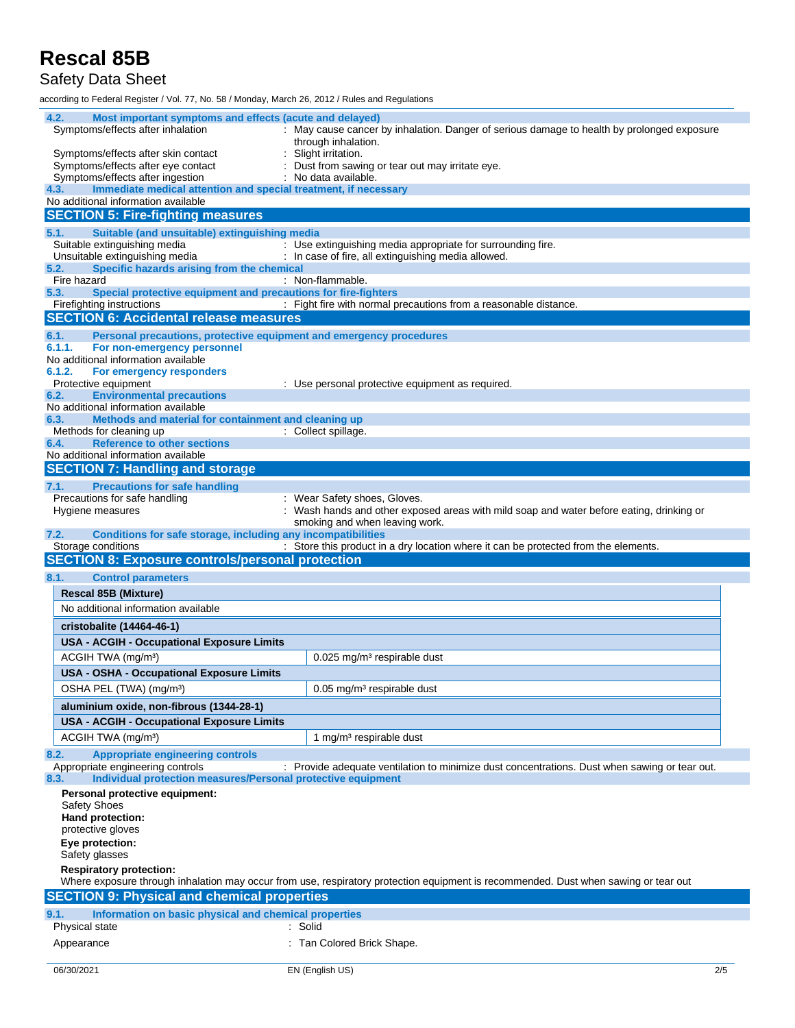#### Safety Data Sheet

according to Federal Register / Vol. 77, No. 58 / Monday, March 26, 2012 / Rules and Regulations

| 4.2.           | Most important symptoms and effects (acute and delayed)                                            |                                                                                                                                     |     |
|----------------|----------------------------------------------------------------------------------------------------|-------------------------------------------------------------------------------------------------------------------------------------|-----|
|                | Symptoms/effects after inhalation                                                                  | : May cause cancer by inhalation. Danger of serious damage to health by prolonged exposure                                          |     |
|                |                                                                                                    | through inhalation.<br>Slight irritation.                                                                                           |     |
|                | Symptoms/effects after skin contact<br>Symptoms/effects after eye contact                          | : Dust from sawing or tear out may irritate eye.                                                                                    |     |
|                | Symptoms/effects after ingestion                                                                   | : No data available.                                                                                                                |     |
| 4.3.           | Immediate medical attention and special treatment, if necessary                                    |                                                                                                                                     |     |
|                | No additional information available                                                                |                                                                                                                                     |     |
|                | <b>SECTION 5: Fire-fighting measures</b>                                                           |                                                                                                                                     |     |
| 5.1.           | Suitable (and unsuitable) extinguishing media                                                      |                                                                                                                                     |     |
|                | Suitable extinguishing media<br>Unsuitable extinguishing media                                     | : Use extinguishing media appropriate for surrounding fire.<br>: In case of fire, all extinguishing media allowed.                  |     |
| 5.2.           | Specific hazards arising from the chemical                                                         |                                                                                                                                     |     |
|                | Fire hazard                                                                                        | : Non-flammable.                                                                                                                    |     |
| 5.3.           | Special protective equipment and precautions for fire-fighters                                     |                                                                                                                                     |     |
|                | Firefighting instructions<br><b>SECTION 6: Accidental release measures</b>                         | : Fight fire with normal precautions from a reasonable distance.                                                                    |     |
|                |                                                                                                    |                                                                                                                                     |     |
| 6.1.<br>6.1.1. | Personal precautions, protective equipment and emergency procedures<br>For non-emergency personnel |                                                                                                                                     |     |
|                | No additional information available                                                                |                                                                                                                                     |     |
| 6.1.2.         | For emergency responders                                                                           |                                                                                                                                     |     |
|                | Protective equipment                                                                               | : Use personal protective equipment as required.                                                                                    |     |
| 6.2.           | <b>Environmental precautions</b><br>No additional information available                            |                                                                                                                                     |     |
| 6.3.           | Methods and material for containment and cleaning up                                               |                                                                                                                                     |     |
|                | Methods for cleaning up                                                                            | : Collect spillage.                                                                                                                 |     |
| 6.4.           | <b>Reference to other sections</b>                                                                 |                                                                                                                                     |     |
|                | No additional information available                                                                |                                                                                                                                     |     |
|                | <b>SECTION 7: Handling and storage</b>                                                             |                                                                                                                                     |     |
| 7.1.           | <b>Precautions for safe handling</b><br>Precautions for safe handling                              |                                                                                                                                     |     |
|                | Hygiene measures                                                                                   | : Wear Safety shoes, Gloves.<br>Wash hands and other exposed areas with mild soap and water before eating, drinking or              |     |
|                |                                                                                                    | smoking and when leaving work.                                                                                                      |     |
| 7.2.           | Conditions for safe storage, including any incompatibilities                                       |                                                                                                                                     |     |
|                |                                                                                                    |                                                                                                                                     |     |
|                | Storage conditions                                                                                 | : Store this product in a dry location where it can be protected from the elements.                                                 |     |
|                | <b>SECTION 8: Exposure controls/personal protection</b>                                            |                                                                                                                                     |     |
| 8.1.           | <b>Control parameters</b>                                                                          |                                                                                                                                     |     |
|                | <b>Rescal 85B (Mixture)</b>                                                                        |                                                                                                                                     |     |
|                | No additional information available                                                                |                                                                                                                                     |     |
|                | cristobalite (14464-46-1)                                                                          |                                                                                                                                     |     |
|                | <b>USA - ACGIH - Occupational Exposure Limits</b>                                                  |                                                                                                                                     |     |
|                | ACGIH TWA (mg/m <sup>3</sup> )                                                                     | $0.025$ mg/m <sup>3</sup> respirable dust                                                                                           |     |
|                | <b>USA - OSHA - Occupational Exposure Limits</b>                                                   |                                                                                                                                     |     |
|                |                                                                                                    | $0.05$ mg/m <sup>3</sup> respirable dust                                                                                            |     |
|                | OSHA PEL (TWA) (mg/m <sup>3</sup> )                                                                |                                                                                                                                     |     |
|                | aluminium oxide, non-fibrous (1344-28-1)                                                           |                                                                                                                                     |     |
|                | <b>USA - ACGIH - Occupational Exposure Limits</b>                                                  |                                                                                                                                     |     |
|                | ACGIH TWA (mg/m <sup>3</sup> )                                                                     | 1 mg/m <sup>3</sup> respirable dust                                                                                                 |     |
| 8.2.           | <b>Appropriate engineering controls</b>                                                            |                                                                                                                                     |     |
| 8.3.           | Appropriate engineering controls<br>Individual protection measures/Personal protective equipment   | : Provide adequate ventilation to minimize dust concentrations. Dust when sawing or tear out.                                       |     |
|                | Personal protective equipment:                                                                     |                                                                                                                                     |     |
|                | <b>Safety Shoes</b>                                                                                |                                                                                                                                     |     |
|                | Hand protection:                                                                                   |                                                                                                                                     |     |
|                | protective gloves                                                                                  |                                                                                                                                     |     |
|                | Eye protection:<br>Safety glasses                                                                  |                                                                                                                                     |     |
|                | <b>Respiratory protection:</b>                                                                     |                                                                                                                                     |     |
|                |                                                                                                    | Where exposure through inhalation may occur from use, respiratory protection equipment is recommended. Dust when sawing or tear out |     |
|                | <b>SECTION 9: Physical and chemical properties</b>                                                 |                                                                                                                                     |     |
| 9.1.           | Information on basic physical and chemical properties                                              |                                                                                                                                     |     |
|                | Physical state                                                                                     | : Solid                                                                                                                             |     |
|                | Appearance                                                                                         | : Tan Colored Brick Shape.                                                                                                          |     |
| 06/30/2021     |                                                                                                    | EN (English US)                                                                                                                     | 2/5 |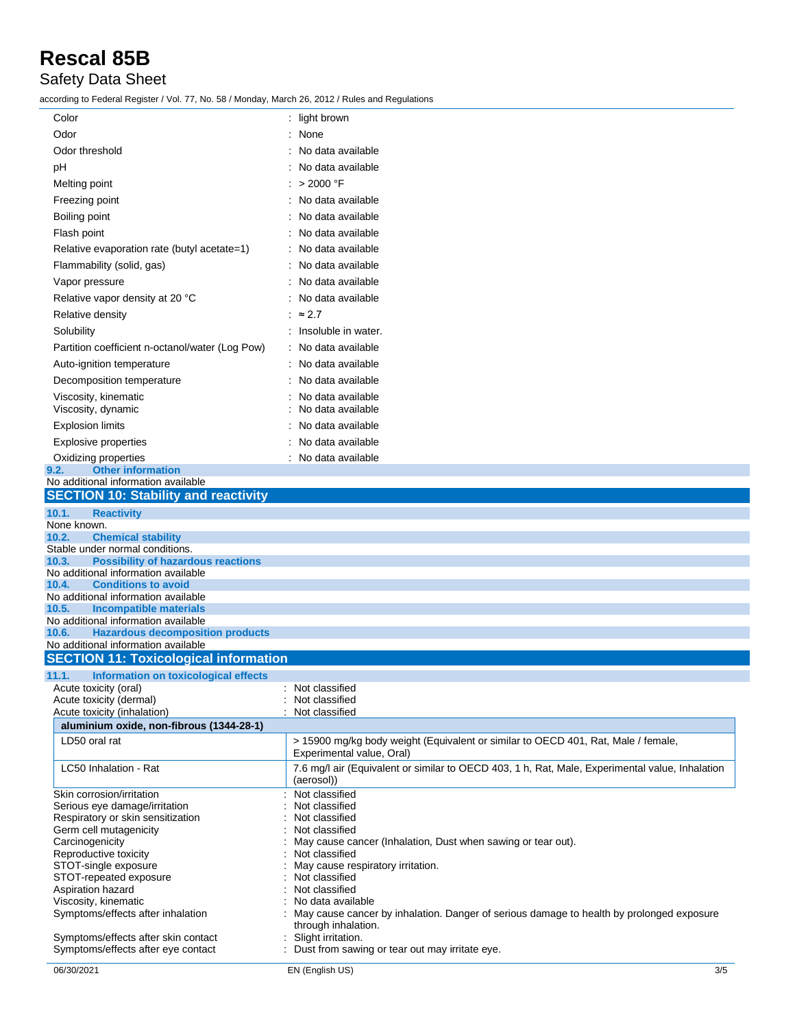#### Safety Data Sheet

according to Federal Register / Vol. 77, No. 58 / Monday, March 26, 2012 / Rules and Regulations

| Color                                                                                   | : light brown                                                                                                   |
|-----------------------------------------------------------------------------------------|-----------------------------------------------------------------------------------------------------------------|
| Odor                                                                                    | : None                                                                                                          |
| Odor threshold                                                                          | : No data available                                                                                             |
| рH                                                                                      | : No data available                                                                                             |
| Melting point                                                                           | : > 2000 °F                                                                                                     |
| Freezing point                                                                          | No data available                                                                                               |
| Boiling point                                                                           | No data available                                                                                               |
|                                                                                         |                                                                                                                 |
| Flash point                                                                             | No data available                                                                                               |
| Relative evaporation rate (butyl acetate=1)                                             | : No data available                                                                                             |
| Flammability (solid, gas)                                                               | : No data available                                                                                             |
| Vapor pressure                                                                          | : No data available                                                                                             |
| Relative vapor density at 20 °C                                                         | : No data available                                                                                             |
| Relative density                                                                        | : $\approx$ 2.7                                                                                                 |
| Solubility                                                                              | : Insoluble in water.                                                                                           |
| Partition coefficient n-octanol/water (Log Pow)                                         | : No data available                                                                                             |
| Auto-ignition temperature                                                               | No data available                                                                                               |
| Decomposition temperature                                                               | No data available                                                                                               |
| Viscosity, kinematic                                                                    | No data available                                                                                               |
| Viscosity, dynamic                                                                      | No data available                                                                                               |
| <b>Explosion limits</b>                                                                 | No data available                                                                                               |
| <b>Explosive properties</b>                                                             | No data available                                                                                               |
| Oxidizing properties<br><b>Other information</b><br>9.2.                                | : No data available                                                                                             |
| No additional information available                                                     |                                                                                                                 |
| <b>SECTION 10: Stability and reactivity</b>                                             |                                                                                                                 |
| 10.1.<br><b>Reactivity</b>                                                              |                                                                                                                 |
| None known.                                                                             |                                                                                                                 |
| <b>Chemical stability</b><br>10.2.<br>Stable under normal conditions.                   |                                                                                                                 |
| <b>Possibility of hazardous reactions</b><br>10.3.                                      |                                                                                                                 |
| No additional information available                                                     |                                                                                                                 |
| <b>Conditions to avoid</b><br>10.4.<br>No additional information available              |                                                                                                                 |
| <b>Incompatible materials</b><br>10.5.                                                  |                                                                                                                 |
| No additional information available                                                     |                                                                                                                 |
| <b>Hazardous decomposition products</b><br>10.6.<br>No additional information available |                                                                                                                 |
| <b>SECTION 11: Toxicological information</b>                                            |                                                                                                                 |
| 11.1.<br>Information on toxicological effects                                           |                                                                                                                 |
| Acute toxicity (oral)                                                                   | : Not classified                                                                                                |
| Acute toxicity (dermal)                                                                 | : Not classified                                                                                                |
| Acute toxicity (inhalation)<br>aluminium oxide, non-fibrous (1344-28-1)                 | : Not classified                                                                                                |
| LD50 oral rat                                                                           | > 15900 mg/kg body weight (Equivalent or similar to OECD 401, Rat, Male / female,                               |
|                                                                                         | Experimental value, Oral)                                                                                       |
| LC50 Inhalation - Rat                                                                   | 7.6 mg/l air (Equivalent or similar to OECD 403, 1 h, Rat, Male, Experimental value, Inhalation<br>(aerosol))   |
| Skin corrosion/irritation                                                               | Not classified                                                                                                  |
| Serious eye damage/irritation                                                           | Not classified                                                                                                  |
| Respiratory or skin sensitization<br>Germ cell mutagenicity                             | Not classified<br>Not classified                                                                                |
| Carcinogenicity                                                                         | May cause cancer (Inhalation, Dust when sawing or tear out).                                                    |
| Reproductive toxicity                                                                   | Not classified                                                                                                  |
| STOT-single exposure                                                                    | May cause respiratory irritation.<br>Not classified                                                             |
| STOT-repeated exposure<br>Aspiration hazard                                             | Not classified                                                                                                  |
| Viscosity, kinematic                                                                    | No data available                                                                                               |
| Symptoms/effects after inhalation                                                       | May cause cancer by inhalation. Danger of serious damage to health by prolonged exposure<br>through inhalation. |
| Symptoms/effects after skin contact<br>Symptoms/effects after eye contact               | Slight irritation.<br>Dust from sawing or tear out may irritate eye.                                            |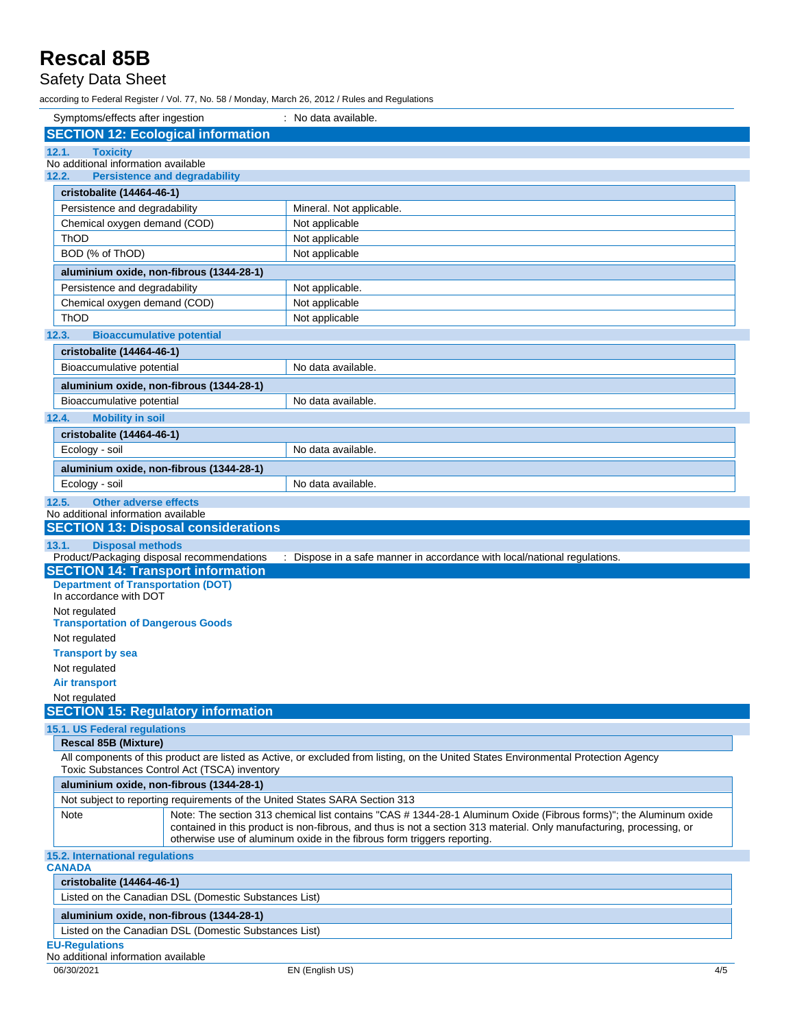### Safety Data Sheet

according to Federal Register / Vol. 77, No. 58 / Monday, March 26, 2012 / Rules and Regulations

| Symptoms/effects after ingestion                                                     | : No data available.                                                                                                                                                                            |
|--------------------------------------------------------------------------------------|-------------------------------------------------------------------------------------------------------------------------------------------------------------------------------------------------|
| <b>SECTION 12: Ecological information</b>                                            |                                                                                                                                                                                                 |
| 12.1.<br><b>Toxicity</b>                                                             |                                                                                                                                                                                                 |
| No additional information available<br><b>Persistence and degradability</b><br>12.2. |                                                                                                                                                                                                 |
|                                                                                      |                                                                                                                                                                                                 |
| cristobalite (14464-46-1)<br>Persistence and degradability                           | Mineral. Not applicable.                                                                                                                                                                        |
| Chemical oxygen demand (COD)                                                         | Not applicable                                                                                                                                                                                  |
| ThOD                                                                                 | Not applicable                                                                                                                                                                                  |
| BOD (% of ThOD)                                                                      | Not applicable                                                                                                                                                                                  |
| aluminium oxide, non-fibrous (1344-28-1)                                             |                                                                                                                                                                                                 |
| Persistence and degradability                                                        | Not applicable.                                                                                                                                                                                 |
| Chemical oxygen demand (COD)                                                         | Not applicable                                                                                                                                                                                  |
| ThOD                                                                                 | Not applicable                                                                                                                                                                                  |
| <b>Bioaccumulative potential</b><br>12.3.                                            |                                                                                                                                                                                                 |
| cristobalite (14464-46-1)                                                            |                                                                                                                                                                                                 |
| Bioaccumulative potential                                                            | No data available.                                                                                                                                                                              |
| aluminium oxide, non-fibrous (1344-28-1)                                             |                                                                                                                                                                                                 |
| Bioaccumulative potential                                                            | No data available.                                                                                                                                                                              |
| <b>Mobility in soil</b><br>12.4.                                                     |                                                                                                                                                                                                 |
| cristobalite (14464-46-1)                                                            |                                                                                                                                                                                                 |
| Ecology - soil                                                                       | No data available.                                                                                                                                                                              |
| aluminium oxide, non-fibrous (1344-28-1)                                             |                                                                                                                                                                                                 |
| Ecology - soil                                                                       | No data available.                                                                                                                                                                              |
| <b>Other adverse effects</b><br>12.5.                                                |                                                                                                                                                                                                 |
| No additional information available                                                  |                                                                                                                                                                                                 |
| <b>SECTION 13: Disposal considerations</b>                                           |                                                                                                                                                                                                 |
|                                                                                      |                                                                                                                                                                                                 |
| <b>Disposal methods</b><br>13.1.                                                     |                                                                                                                                                                                                 |
| Product/Packaging disposal recommendations                                           | : Dispose in a safe manner in accordance with local/national regulations.                                                                                                                       |
| <b>SECTION 14: Transport information</b>                                             |                                                                                                                                                                                                 |
| <b>Department of Transportation (DOT)</b><br>In accordance with DOT                  |                                                                                                                                                                                                 |
| Not regulated                                                                        |                                                                                                                                                                                                 |
| <b>Transportation of Dangerous Goods</b>                                             |                                                                                                                                                                                                 |
| Not regulated                                                                        |                                                                                                                                                                                                 |
| <b>Transport by sea</b>                                                              |                                                                                                                                                                                                 |
| Not regulated                                                                        |                                                                                                                                                                                                 |
| Air transport                                                                        |                                                                                                                                                                                                 |
| Not regulated                                                                        |                                                                                                                                                                                                 |
| <b>SECTION 15: Regulatory information</b>                                            |                                                                                                                                                                                                 |
| 15.1. US Federal regulations<br><b>Rescal 85B (Mixture)</b>                          |                                                                                                                                                                                                 |
|                                                                                      | All components of this product are listed as Active, or excluded from listing, on the United States Environmental Protection Agency                                                             |
| Toxic Substances Control Act (TSCA) inventory                                        |                                                                                                                                                                                                 |
| aluminium oxide, non-fibrous (1344-28-1)                                             |                                                                                                                                                                                                 |
| Not subject to reporting requirements of the United States SARA Section 313          |                                                                                                                                                                                                 |
| Note                                                                                 | Note: The section 313 chemical list contains "CAS #1344-28-1 Aluminum Oxide (Fibrous forms)"; the Aluminum oxide                                                                                |
|                                                                                      | contained in this product is non-fibrous, and thus is not a section 313 material. Only manufacturing, processing, or<br>otherwise use of aluminum oxide in the fibrous form triggers reporting. |
| 15.2. International regulations                                                      |                                                                                                                                                                                                 |
| <b>CANADA</b>                                                                        |                                                                                                                                                                                                 |
| cristobalite (14464-46-1)                                                            |                                                                                                                                                                                                 |
| Listed on the Canadian DSL (Domestic Substances List)                                |                                                                                                                                                                                                 |
| aluminium oxide, non-fibrous (1344-28-1)                                             |                                                                                                                                                                                                 |
| Listed on the Canadian DSL (Domestic Substances List)                                |                                                                                                                                                                                                 |
| <b>EU-Regulations</b><br>No additional information available                         |                                                                                                                                                                                                 |